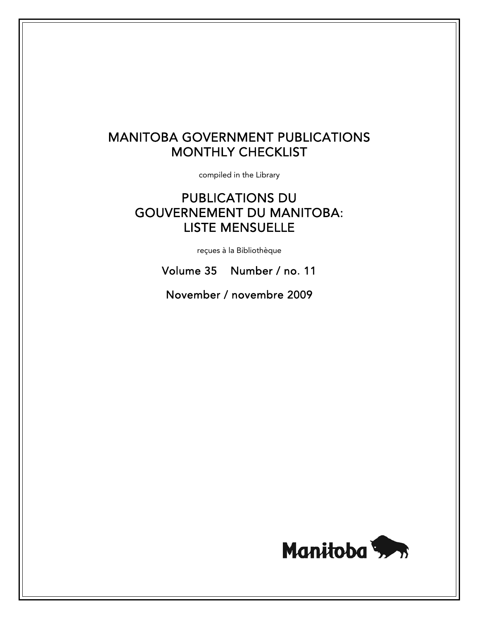# MANITOBA GOVERNMENT PUBLICATIONS MONTHLY CHECKLIST

compiled in the Library

# PUBLICATIONS DU GOUVERNEMENT DU MANITOBA: LISTE MENSUELLE

reçues à la Bibliothèque

Volume 35 Number / no. 11

November / novembre 2009

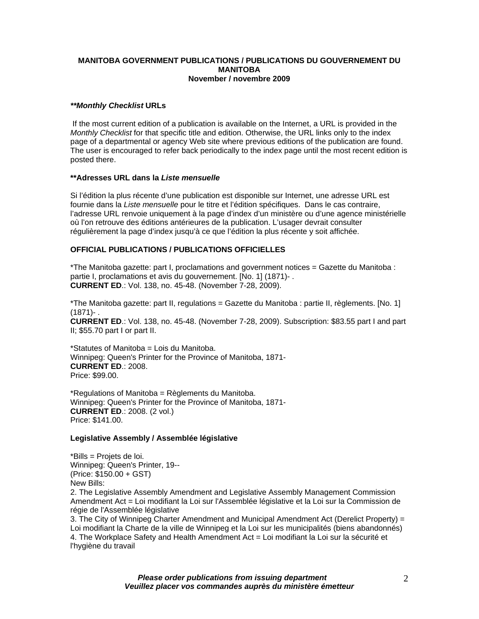## **MANITOBA GOVERNMENT PUBLICATIONS / PUBLICATIONS DU GOUVERNEMENT DU MANITOBA November / novembre 2009**

# *\*\*Monthly Checklist* **URLs**

 If the most current edition of a publication is available on the Internet, a URL is provided in the *Monthly Checklist* for that specific title and edition. Otherwise, the URL links only to the index page of a departmental or agency Web site where previous editions of the publication are found. The user is encouraged to refer back periodically to the index page until the most recent edition is posted there.

## **\*\*Adresses URL dans la** *Liste mensuelle*

Si l'édition la plus récente d'une publication est disponible sur Internet, une adresse URL est fournie dans la *Liste mensuelle* pour le titre et l'édition spécifiques. Dans le cas contraire, l'adresse URL renvoie uniquement à la page d'index d'un ministère ou d'une agence ministérielle où l'on retrouve des éditions antérieures de la publication. L'usager devrait consulter régulièrement la page d'index jusqu'à ce que l'édition la plus récente y soit affichée.

# **OFFICIAL PUBLICATIONS / PUBLICATIONS OFFICIELLES**

\*The Manitoba gazette: part I, proclamations and government notices = Gazette du Manitoba : partie I, proclamations et avis du gouvernement. [No. 1] (1871)- . **CURRENT ED**.: Vol. 138, no. 45-48. (November 7-28, 2009).

\*The Manitoba gazette: part II, regulations = Gazette du Manitoba : partie II, règlements. [No. 1] (1871)- .

**CURRENT ED**.: Vol. 138, no. 45-48. (November 7-28, 2009). Subscription: \$83.55 part I and part II; \$55.70 part I or part II.

\*Statutes of Manitoba = Lois du Manitoba. Winnipeg: Queen's Printer for the Province of Manitoba, 1871- **CURRENT ED**.: 2008. Price: \$99.00.

\*Regulations of Manitoba = Règlements du Manitoba. Winnipeg: Queen's Printer for the Province of Manitoba, 1871- **CURRENT ED**.: 2008. (2 vol.) Price: \$141.00.

# **Legislative Assembly / Assemblée législative**

\*Bills = Projets de loi. Winnipeg: Queen's Printer, 19-- (Price: \$150.00 + GST) New Bills:

2. The Legislative Assembly Amendment and Legislative Assembly Management Commission Amendment Act = Loi modifiant la Loi sur l'Assemblée législative et la Loi sur la Commission de régie de l'Assemblée législative

3. The City of Winnipeg Charter Amendment and Municipal Amendment Act (Derelict Property) = Loi modifiant la Charte de la ville de Winnipeg et la Loi sur les municipalités (biens abandonnés) 4. The Workplace Safety and Health Amendment Act = Loi modifiant la Loi sur la sécurité et l'hygiène du travail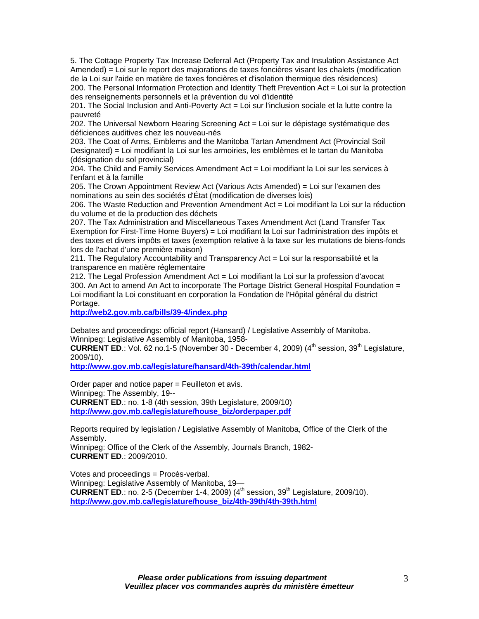5. The Cottage Property Tax Increase Deferral Act (Property Tax and Insulation Assistance Act Amended) = Loi sur le report des majorations de taxes foncières visant les chalets (modification de la Loi sur l'aide en matière de taxes foncières et d'isolation thermique des résidences) 200. The Personal Information Protection and Identity Theft Prevention Act = Loi sur la protection des renseignements personnels et la prévention du vol d'identité

201. The Social Inclusion and Anti-Poverty Act = Loi sur l'inclusion sociale et la lutte contre la pauvreté

202. The Universal Newborn Hearing Screening Act = Loi sur le dépistage systématique des déficiences auditives chez les nouveau-nés

203. The Coat of Arms, Emblems and the Manitoba Tartan Amendment Act (Provincial Soil Designated) = Loi modifiant la Loi sur les armoiries, les emblèmes et le tartan du Manitoba (désignation du sol provincial)

204. The Child and Family Services Amendment Act = Loi modifiant la Loi sur les services à l'enfant et à la famille

205. The Crown Appointment Review Act (Various Acts Amended) = Loi sur l'examen des nominations au sein des sociétés d'État (modification de diverses lois)

206. The Waste Reduction and Prevention Amendment Act = Loi modifiant la Loi sur la réduction du volume et de la production des déchets

207. The Tax Administration and Miscellaneous Taxes Amendment Act (Land Transfer Tax Exemption for First-Time Home Buyers) = Loi modifiant la Loi sur l'administration des impôts et des taxes et divers impôts et taxes (exemption relative à la taxe sur les mutations de biens-fonds lors de l'achat d'une première maison)

211. The Regulatory Accountability and Transparency Act = Loi sur la responsabilité et la transparence en matière réglementaire

212. The Legal Profession Amendment Act = Loi modifiant la Loi sur la profession d'avocat 300. An Act to amend An Act to incorporate The Portage District General Hospital Foundation = Loi modifiant la Loi constituant en corporation la Fondation de l'Hôpital général du district Portage.

**[http://web2.gov.mb.ca/bills/39-4/index.php](https://web2.gov.mb.ca/bills/39-4/index.php)**

Debates and proceedings: official report (Hansard) / Legislative Assembly of Manitoba. Winnipeg: Legislative Assembly of Manitoba, 1958-

**CURRENT ED.:** Vol. 62 no.1-5 (November 30 - December 4, 2009) (4<sup>th</sup> session, 39<sup>th</sup> Legislature, 2009/10).

**[http://www.gov.mb.ca/legislature/hansard/4th-39th/calendar.html](https://www.gov.mb.ca/legislature/hansard/4th-39th/calendar.html)**

Order paper and notice paper = Feuilleton et avis. Winnipeg: The Assembly, 19-- **CURRENT ED**.: no. 1-8 (4th session, 39th Legislature, 2009/10) **[http://www.gov.mb.ca/legislature/house\\_biz/orderpaper.pdf](https://www.gov.mb.ca/legislature/house_biz/orderpaper.pdf)**

Reports required by legislation / Legislative Assembly of Manitoba, Office of the Clerk of the Assembly.

Winnipeg: Office of the Clerk of the Assembly, Journals Branch, 1982- **CURRENT ED**.: 2009/2010.

Votes and proceedings = Procès-verbal. Winnipeg: Legislative Assembly of Manitoba, 19— **CURRENT ED.:** no. 2-5 (December 1-4, 2009)  $(4^{\text{th}}$  session,  $39^{\text{th}}$  Legislature, 2009/10). **[http://www.gov.mb.ca/legislature/house\\_biz/4th-39th/4th-39th.html](https://www.gov.mb.ca/legislature/house_biz/4th-39th/4th-39th.html)**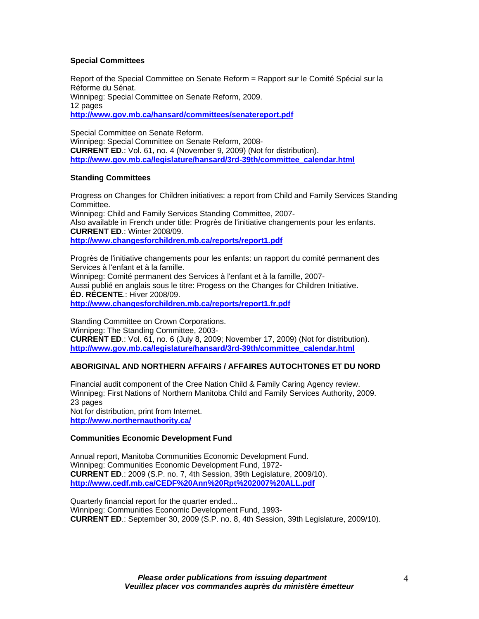# **Special Committees**

Report of the Special Committee on Senate Reform = Rapport sur le Comité Spécial sur la Réforme du Sénat. Winnipeg: Special Committee on Senate Reform, 2009. 12 pages **[http://www.gov.mb.ca/hansard/committees/senatereport.pdf](https://www.gov.mb.ca/hansard/committees/senatereport.pdf)**

Special Committee on Senate Reform. Winnipeg: Special Committee on Senate Reform, 2008- **CURRENT ED**.: Vol. 61, no. 4 (November 9, 2009) (Not for distribution). **[http://www.gov.mb.ca/legislature/hansard/3rd-39th/committee\\_calendar.html](https://www.gov.mb.ca/legislature/hansard/3rd-39th/committee_calendar.html)**

# **Standing Committees**

Progress on Changes for Children initiatives: a report from Child and Family Services Standing Committee. Winnipeg: Child and Family Services Standing Committee, 2007- Also available in French under title: Progrès de l'initiative changements pour les enfants. **CURRENT ED**.: Winter 2008/09. **<http://www.changesforchildren.mb.ca/reports/report1.pdf>**

Progrès de l'initiative changements pour les enfants: un rapport du comité permanent des Services à l'enfant et à la famille. Winnipeg: Comité permanent des Services à l'enfant et à la famille, 2007- Aussi publié en anglais sous le titre: Progess on the Changes for Children Initiative. **ÉD. RÉCENTE**.: Hiver 2008/09. **<http://www.changesforchildren.mb.ca/reports/report1.fr.pdf>**

Standing Committee on Crown Corporations. Winnipeg: The Standing Committee, 2003- **CURRENT ED**.: Vol. 61, no. 6 (July 8, 2009; November 17, 2009) (Not for distribution). **[http://www.gov.mb.ca/legislature/hansard/3rd-39th/committee\\_calendar.html](https://www.gov.mb.ca/legislature/hansard/3rd-39th/committee_calendar.html)**

# **ABORIGINAL AND NORTHERN AFFAIRS / AFFAIRES AUTOCHTONES ET DU NORD**

Financial audit component of the Cree Nation Child & Family Caring Agency review. Winnipeg: First Nations of Northern Manitoba Child and Family Services Authority, 2009. 23 pages Not for distribution, print from Internet. **[http://www.northernauthority.ca/](http://www.northernauthority.ca/wcm-docs/docs/CNCFCA_FINAL_Financial_Audit_of_CNCFCA_Review_Report_November_05_09.pdf)**

# **Communities Economic Development Fund**

Annual report, Manitoba Communities Economic Development Fund. Winnipeg: Communities Economic Development Fund, 1972- **CURRENT ED**.: 2009 (S.P. no. 7, 4th Session, 39th Legislature, 2009/10). **<http://www.cedf.mb.ca/CEDF%20Ann%20Rpt%202007%20ALL.pdf>**

Quarterly financial report for the quarter ended... Winnipeg: Communities Economic Development Fund, 1993- **CURRENT ED**.: September 30, 2009 (S.P. no. 8, 4th Session, 39th Legislature, 2009/10).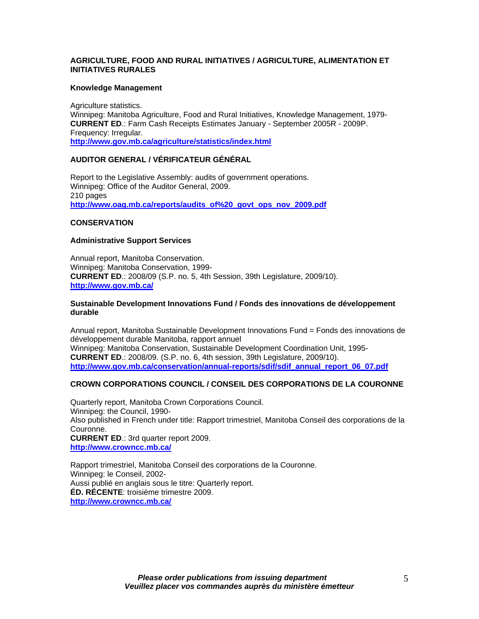# **AGRICULTURE, FOOD AND RURAL INITIATIVES / AGRICULTURE, ALIMENTATION ET INITIATIVES RURALES**

## **Knowledge Management**

Agriculture statistics. Winnipeg: Manitoba Agriculture, Food and Rural Initiatives, Knowledge Management, 1979- **CURRENT ED**.: Farm Cash Receipts Estimates January - September 2005R - 2009P. Frequency: Irregular. **[http://www.gov.mb.ca/agriculture/statistics/index.html](https://www.gov.mb.ca/agriculture/statistics/index.html)**

# **AUDITOR GENERAL / VÉRIFICATEUR GÉNÉRAL**

Report to the Legislative Assembly: audits of government operations. Winnipeg: Office of the Auditor General, 2009. 210 pages **[http://www.oag.mb.ca/reports/audits\\_of%20\\_govt\\_ops\\_nov\\_2009.pdf](http://www.oag.mb.ca/reports/audits_of%20_govt_ops_nov_2009.pdf)**

## **CONSERVATION**

## **Administrative Support Services**

Annual report, Manitoba Conservation. Winnipeg: Manitoba Conservation, 1999- **CURRENT ED**.: 2008/09 (S.P. no. 5, 4th Session, 39th Legislature, 2009/10). **[http://www.gov.mb.ca/](https://www.gov.mb.ca/conservation/annual-reports/conservation/conservation_annual_report_2007_08.pdf)**

## **Sustainable Development Innovations Fund / Fonds des innovations de développement durable**

Annual report, Manitoba Sustainable Development Innovations Fund = Fonds des innovations de développement durable Manitoba, rapport annuel Winnipeg: Manitoba Conservation, Sustainable Development Coordination Unit, 1995- **CURRENT ED**.: 2008/09. (S.P. no. 6, 4th session, 39th Legislature, 2009/10). **[http://www.gov.mb.ca/conservation/annual-reports/sdif/sdif\\_annual\\_report\\_06\\_07.pdf](https://www.gov.mb.ca/conservation/annual-reports/sdif/sdif_annual_report_06_07.pdf)**

# **CROWN CORPORATIONS COUNCIL / CONSEIL DES CORPORATIONS DE LA COURONNE**

Quarterly report, Manitoba Crown Corporations Council. Winnipeg: the Council, 1990- Also published in French under title: Rapport trimestriel, Manitoba Conseil des corporations de la Couronne. **CURRENT ED**.: 3rd quarter report 2009. **<http://www.crowncc.mb.ca/>**

Rapport trimestriel, Manitoba Conseil des corporations de la Couronne. Winnipeg: le Conseil, 2002- Aussi publié en anglais sous le titre: Quarterly report. **ÉD. RÉCENTE**: troisième trimestre 2009. **<http://www.crowncc.mb.ca/>**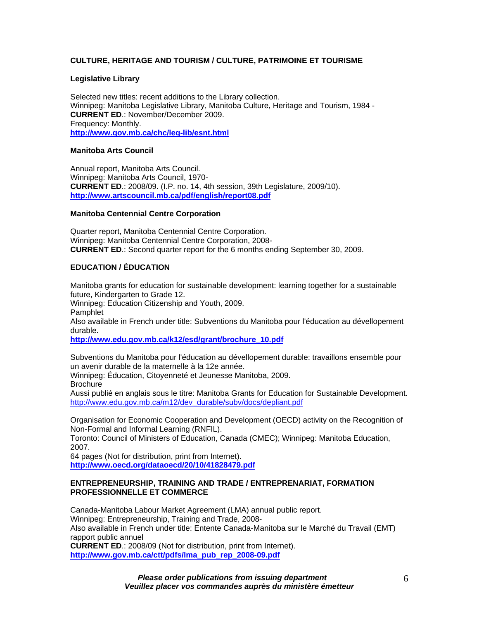# **CULTURE, HERITAGE AND TOURISM / CULTURE, PATRIMOINE ET TOURISME**

## **Legislative Library**

Selected new titles: recent additions to the Library collection. Winnipeg: Manitoba Legislative Library, Manitoba Culture, Heritage and Tourism, 1984 - **CURRENT ED**.: November/December 2009. Frequency: Monthly. **[http://www.gov.mb.ca/chc/leg-lib/esnt.html](https://www.gov.mb.ca/chc/leg-lib/esnt.html)**

## **Manitoba Arts Council**

Annual report, Manitoba Arts Council. Winnipeg: Manitoba Arts Council, 1970- **CURRENT ED**.: 2008/09. (I.P. no. 14, 4th session, 39th Legislature, 2009/10). **<http://www.artscouncil.mb.ca/pdf/english/report08.pdf>**

#### **Manitoba Centennial Centre Corporation**

Quarter report, Manitoba Centennial Centre Corporation. Winnipeg: Manitoba Centennial Centre Corporation, 2008- **CURRENT ED**.: Second quarter report for the 6 months ending September 30, 2009.

# **EDUCATION / ÉDUCATION**

Manitoba grants for education for sustainable development: learning together for a sustainable future, Kindergarten to Grade 12.

Winnipeg: Education Citizenship and Youth, 2009.

Pamphlet

Also available in French under title: Subventions du Manitoba pour l'éducation au dévellopement durable.

**[http://www.edu.gov.mb.ca/k12/esd/grant/brochure\\_10.pdf](http://www.edu.gov.mb.ca/k12/esd/grant/brochure_10.pdf)**

Subventions du Manitoba pour l'éducation au dévellopement durable: travaillons ensemble pour un avenir durable de la maternelle à la 12e année.

Winnipeg: Éducation, Citoyenneté et Jeunesse Manitoba, 2009. **Brochure** 

Aussi publié en anglais sous le titre: Manitoba Grants for Education for Sustainable Development. [http://www.edu.gov.mb.ca/m12/dev\\_durable/subv/docs/depliant.pdf](http://www.edu.gov.mb.ca/m12/dev_durable/subv/docs/depliant.pdf)

Organisation for Economic Cooperation and Development (OECD) activity on the Recognition of Non-Formal and Informal Learning (RNFIL).

Toronto: Council of Ministers of Education, Canada (CMEC); Winnipeg: Manitoba Education, 2007.

64 pages (Not for distribution, print from Internet). **<http://www.oecd.org/dataoecd/20/10/41828479.pdf>**

#### **ENTREPRENEURSHIP, TRAINING AND TRADE / ENTREPRENARIAT, FORMATION PROFESSIONNELLE ET COMMERCE**

Canada-Manitoba Labour Market Agreement (LMA) annual public report. Winnipeg: Entrepreneurship, Training and Trade, 2008- Also available in French under title: Entente Canada-Manitoba sur le Marché du Travail (EMT) rapport public annuel **CURRENT ED**.: 2008/09 (Not for distribution, print from Internet). **[http://www.gov.mb.ca/ctt/pdfs/lma\\_pub\\_rep\\_2008-09.pdf](https://www.gov.mb.ca/ctt/pdfs/lma_pub_rep_2008-09.pdf)**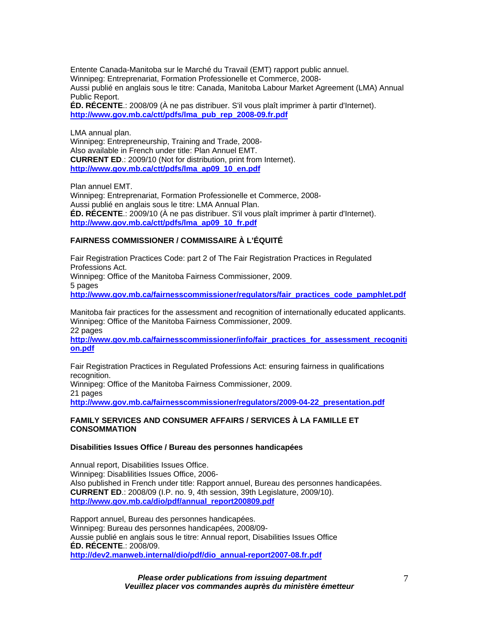Entente Canada-Manitoba sur le Marché du Travail (EMT) rapport public annuel. Winnipeg: Entreprenariat, Formation Professionelle et Commerce, 2008- Aussi publié en anglais sous le titre: Canada, Manitoba Labour Market Agreement (LMA) Annual Public Report. **ÉD. RÉCENTE**.: 2008/09 (À ne pas distribuer. S'il vous plaît imprimer à partir d'Internet). **[http://www.gov.mb.ca/ctt/pdfs/lma\\_pub\\_rep\\_2008-09.fr.pdf](https://www.gov.mb.ca/ctt/pdfs/lma_pub_rep_2008-09.fr.pdf)**

LMA annual plan. Winnipeg: Entrepreneurship, Training and Trade, 2008- Also available in French under title: Plan Annuel EMT. **CURRENT ED**.: 2009/10 (Not for distribution, print from Internet). **[http://www.gov.mb.ca/ctt/pdfs/lma\\_ap09\\_10\\_en.pdf](https://www.gov.mb.ca/ctt/pdfs/lma_ap09_10_en.pdf)**

Plan annuel EMT.

Winnipeg: Entreprenariat, Formation Professionelle et Commerce, 2008- Aussi publié en anglais sous le titre: LMA Annual Plan. **ÉD. RÉCENTE**.: 2009/10 (À ne pas distribuer. S'il vous plaît imprimer à partir d'Internet). **[http://www.gov.mb.ca/ctt/pdfs/lma\\_ap09\\_10\\_fr.pdf](https://www.gov.mb.ca/ctt/pdfs/lma_ap09_10_fr.pdf)**

# **FAIRNESS COMMISSIONER / COMMISSAIRE À L'ÉQUITÉ**

Fair Registration Practices Code: part 2 of The Fair Registration Practices in Regulated Professions Act. Winnipeg: Office of the Manitoba Fairness Commissioner, 2009. 5 pages **[http://www.gov.mb.ca/fairnesscommissioner/regulators/fair\\_practices\\_code\\_pamphlet.pdf](https://www.gov.mb.ca/fairnesscommissioner/regulators/fair_practices_code_pamphlet.pdf)**

Manitoba fair practices for the assessment and recognition of internationally educated applicants. Winnipeg: Office of the Manitoba Fairness Commissioner, 2009. 22 pages

**[http://www.gov.mb.ca/fairnesscommissioner/info/fair\\_practices\\_for\\_assessment\\_recogniti](https://www.gov.mb.ca/fairnesscommissioner/info/fair_practices_for_assessment_recognition.pdf) [on.pdf](https://www.gov.mb.ca/fairnesscommissioner/info/fair_practices_for_assessment_recognition.pdf)**

Fair Registration Practices in Regulated Professions Act: ensuring fairness in qualifications recognition.

Winnipeg: Office of the Manitoba Fairness Commissioner, 2009. 21 pages

**[http://www.gov.mb.ca/fairnesscommissioner/regulators/2009-04-22\\_presentation.pdf](https://www.gov.mb.ca/fairnesscommissioner/regulators/2009-04-22_presentation.pdf)** 

#### **FAMILY SERVICES AND CONSUMER AFFAIRS / SERVICES À LA FAMILLE ET CONSOMMATION**

#### **Disabilities Issues Office / Bureau des personnes handicapées**

Annual report, Disabilities Issues Office. Winnipeg: Disablilities Issues Office, 2006- Also published in French under title: Rapport annuel, Bureau des personnes handicapées. **CURRENT ED**.: 2008/09 (I.P. no. 9, 4th session, 39th Legislature, 2009/10). **[http://www.gov.mb.ca/dio/pdf/annual\\_report200809.pdf](https://www.gov.mb.ca/dio/pdf/annual_report200809.pdf)**

Rapport annuel, Bureau des personnes handicapées. Winnipeg: Bureau des personnes handicapées, 2008/09- Aussie publié en anglais sous le titre: Annual report, Disabilities Issues Office **ÉD. RÉCENTE**.: 2008/09. **[http://dev2.manweb.internal/dio/pdf/dio\\_annual-report2007-08.fr.pdf](http://dev2.manweb.internal/dio/pdf/dio_annual-report2007-08.fr.pdf)**

> *Please order publications from issuing department Veuillez placer vos commandes auprès du ministère émetteur*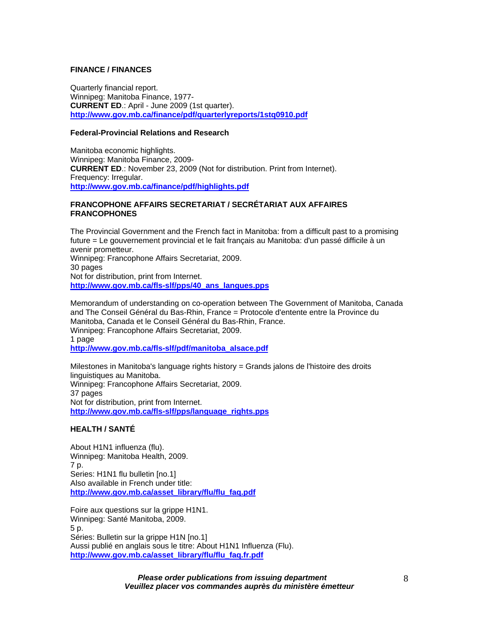## **FINANCE / FINANCES**

Quarterly financial report. Winnipeg: Manitoba Finance, 1977- **CURRENT ED**.: April - June 2009 (1st quarter). **[http://www.gov.mb.ca/finance/pdf/quarterlyreports/1stq0910.pdf](https://www.gov.mb.ca/finance/pdf/quarterlyreports/1stq0910.pdf)**

#### **Federal-Provincial Relations and Research**

Manitoba economic highlights. Winnipeg: Manitoba Finance, 2009- **CURRENT ED**.: November 23, 2009 (Not for distribution. Print from Internet). Frequency: Irregular. **[http://www.gov.mb.ca/finance/pdf/highlights.pdf](https://www.gov.mb.ca/finance/pdf/highlights.pdf)**

# **FRANCOPHONE AFFAIRS SECRETARIAT / SECRÉTARIAT AUX AFFAIRES FRANCOPHONES**

The Provincial Government and the French fact in Manitoba: from a difficult past to a promising future = Le gouvernement provincial et le fait français au Manitoba: d'un passé difficile à un avenir prometteur. Winnipeg: Francophone Affairs Secretariat, 2009.

30 pages Not for distribution, print from Internet. **[http://www.gov.mb.ca/fls-slf/pps/40\\_ans\\_langues.pps](https://www.gov.mb.ca/fls-slf/pps/40_ans_langues.pps)**

Memorandum of understanding on co-operation between The Government of Manitoba, Canada and The Conseil Général du Bas-Rhin, France = Protocole d'entente entre la Province du Manitoba, Canada et le Conseil Général du Bas-Rhin, France. Winnipeg: Francophone Affairs Secretariat, 2009. 1 page **[http://www.gov.mb.ca/fls-slf/pdf/manitoba\\_alsace.pdf](https://www.gov.mb.ca/fls-slf/pdf/manitoba_alsace.pdf)**

Milestones in Manitoba's language rights history = Grands jalons de l'histoire des droits linguistiques au Manitoba. Winnipeg: Francophone Affairs Secretariat, 2009. 37 pages Not for distribution, print from Internet. **[http://www.gov.mb.ca/fls-slf/pps/language\\_rights.pps](https://www.gov.mb.ca/fls-slf/pps/language_rights.pps)**

# **HEALTH / SANTÉ**

About H1N1 influenza (flu). Winnipeg: Manitoba Health, 2009. 7 p. Series: H1N1 flu bulletin [no.1] Also available in French under title: **[http://www.gov.mb.ca/asset\\_library/flu/flu\\_faq.pdf](https://www.gov.mb.ca/asset_library/flu/flu_faq.pdf)**

Foire aux questions sur la grippe H1N1. Winnipeg: Santé Manitoba, 2009. 5 p. Séries: Bulletin sur la grippe H1N [no.1] Aussi publié en anglais sous le titre: About H1N1 Influenza (Flu). **[http://www.gov.mb.ca/asset\\_library/flu/flu\\_faq.fr.pdf](https://www.gov.mb.ca/asset_library/flu/flu_faq.fr.pdf)**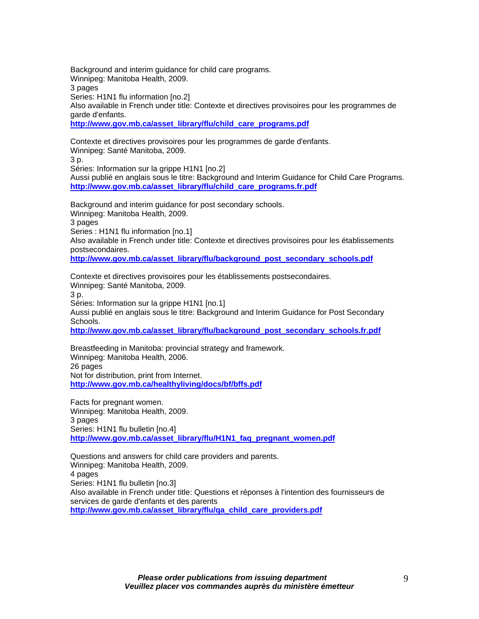Background and interim guidance for child care programs. Winnipeg: Manitoba Health, 2009. 3 pages Series: H1N1 flu information [no.2] Also available in French under title: Contexte et directives provisoires pour les programmes de garde d'enfants.

**[http://www.gov.mb.ca/asset\\_library/flu/child\\_care\\_programs.pdf](https://www.gov.mb.ca/asset_library/flu/child_care_programs.pdf)**

Contexte et directives provisoires pour les programmes de garde d'enfants. Winnipeg: Santé Manitoba, 2009.

3 p.

Séries: Information sur la grippe H1N1 [no.2]

Aussi publié en anglais sous le titre: Background and Interim Guidance for Child Care Programs. **[http://www.gov.mb.ca/asset\\_library/flu/child\\_care\\_programs.fr.pdf](https://www.gov.mb.ca/asset_library/flu/child_care_programs.fr.pdf)**

Background and interim guidance for post secondary schools. Winnipeg: Manitoba Health, 2009. 3 pages Series : H1N1 flu information [no.1] Also available in French under title: Contexte et directives provisoires pour les établissements postsecondaires. **[http://www.gov.mb.ca/asset\\_library/flu/background\\_post\\_secondary\\_schools.pdf](https://www.gov.mb.ca/asset_library/flu/background_post_secondary_schools.pdf)**

Contexte et directives provisoires pour les établissements postsecondaires. Winnipeg: Santé Manitoba, 2009. 3 p. Séries: Information sur la grippe H1N1 [no.1] Aussi publié en anglais sous le titre: Background and Interim Guidance for Post Secondary Schools.

**[http://www.gov.mb.ca/asset\\_library/flu/background\\_post\\_secondary\\_schools.fr.pdf](https://www.gov.mb.ca/asset_library/flu/background_post_secondary_schools.fr.pdf)**

Breastfeeding in Manitoba: provincial strategy and framework. Winnipeg: Manitoba Health, 2006. 26 pages Not for distribution, print from Internet. **[http://www.gov.mb.ca/healthyliving/docs/bf/bffs.pdf](https://www.gov.mb.ca/healthyliving/docs/bf/bffs.pdf)**

Facts for pregnant women. Winnipeg: Manitoba Health, 2009. 3 pages Series: H1N1 flu bulletin [no.4] **[http://www.gov.mb.ca/asset\\_library/flu/H1N1\\_faq\\_pregnant\\_women.pdf](https://www.gov.mb.ca/asset_library/flu/H1N1_faq_pregnant_women.pdf)**

Questions and answers for child care providers and parents. Winnipeg: Manitoba Health, 2009. 4 pages Series: H1N1 flu bulletin [no.3] Also available in French under title: Questions et réponses à l'intention des fournisseurs de services de garde d'enfants et des parents **[http://www.gov.mb.ca/asset\\_library/flu/qa\\_child\\_care\\_providers.pdf](https://www.gov.mb.ca/asset_library/flu/qa_child_care_providers.pdf)**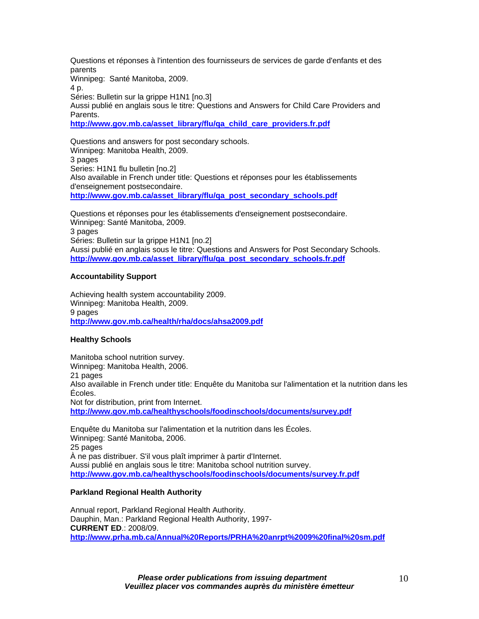Questions et réponses à l'intention des fournisseurs de services de garde d'enfants et des parents Winnipeg: Santé Manitoba, 2009. 4 p. Séries: Bulletin sur la grippe H1N1 [no.3]

Aussi publié en anglais sous le titre: Questions and Answers for Child Care Providers and **Parents** 

**[http://www.gov.mb.ca/asset\\_library/flu/qa\\_child\\_care\\_providers.fr.pdf](https://www.gov.mb.ca/asset_library/flu/qa_child_care_providers.fr.pdf)**

Questions and answers for post secondary schools. Winnipeg: Manitoba Health, 2009. 3 pages Series: H1N1 flu bulletin [no.2] Also available in French under title: Questions et réponses pour les établissements d'enseignement postsecondaire. **[http://www.gov.mb.ca/asset\\_library/flu/qa\\_post\\_secondary\\_schools.pdf](https://www.gov.mb.ca/asset_library/flu/qa_post_secondary_schools.pdf)**

Questions et réponses pour les établissements d'enseignement postsecondaire. Winnipeg: Santé Manitoba, 2009. 3 pages Séries: Bulletin sur la grippe H1N1 [no.2] Aussi publié en anglais sous le titre: Questions and Answers for Post Secondary Schools. **[http://www.gov.mb.ca/asset\\_library/flu/qa\\_post\\_secondary\\_schools.fr.pdf](https://www.gov.mb.ca/asset_library/flu/qa_post_secondary_schools.fr.pdf)**

# **Accountability Support**

Achieving health system accountability 2009. Winnipeg: Manitoba Health, 2009. 9 pages **[http://www.gov.mb.ca/health/rha/docs/ahsa2009.pdf](https://www.gov.mb.ca/health/rha/docs/ahsa2009.pdf)** 

# **Healthy Schools**

Manitoba school nutrition survey. Winnipeg: Manitoba Health, 2006. 21 pages Also available in French under title: Enquête du Manitoba sur l'alimentation et la nutrition dans les Écoles. Not for distribution, print from Internet. **[http://www.gov.mb.ca/healthyschools/foodinschools/documents/survey.pdf](https://www.gov.mb.ca/healthyschools/foodinschools/documents/survey.pdf)**

Enquête du Manitoba sur l'alimentation et la nutrition dans les Écoles. Winnipeg: Santé Manitoba, 2006. 25 pages À ne pas distribuer. S'il vous plaît imprimer à partir d'Internet. Aussi publié en anglais sous le titre: Manitoba school nutrition survey. **[http://www.gov.mb.ca/healthyschools/foodinschools/documents/survey.fr.pdf](https://www.gov.mb.ca/healthyschools/foodinschools/documents/survey.fr.pdf)**

# **Parkland Regional Health Authority**

Annual report, Parkland Regional Health Authority. Dauphin, Man.: Parkland Regional Health Authority, 1997- **CURRENT ED**.: 2008/09. **<http://www.prha.mb.ca/Annual%20Reports/PRHA%20anrpt%2009%20final%20sm.pdf>**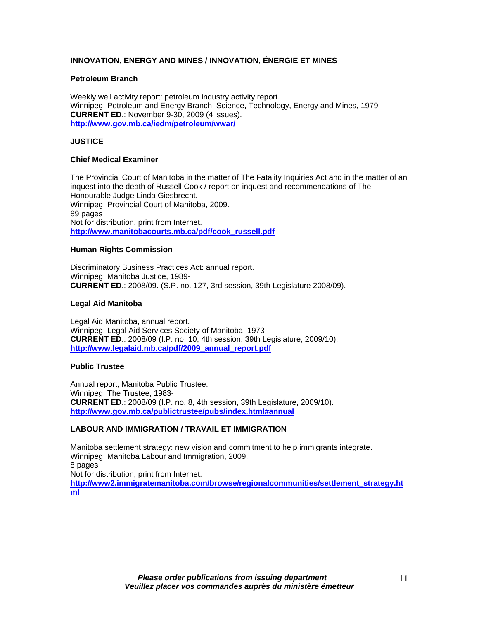# **INNOVATION, ENERGY AND MINES / INNOVATION, ÉNERGIE ET MINES**

## **Petroleum Branch**

Weekly well activity report: petroleum industry activity report. Winnipeg: Petroleum and Energy Branch, Science, Technology, Energy and Mines, 1979- **CURRENT ED**.: November 9-30, 2009 (4 issues). **[http://www.gov.mb.ca/iedm/petroleum/wwar/](https://www.gov.mb.ca/iedm/petroleum/wwar/)**

# **JUSTICE**

## **Chief Medical Examiner**

The Provincial Court of Manitoba in the matter of The Fatality Inquiries Act and in the matter of an inquest into the death of Russell Cook / report on inquest and recommendations of The Honourable Judge Linda Giesbrecht. Winnipeg: Provincial Court of Manitoba, 2009. 89 pages Not for distribution, print from Internet. **[http://www.manitobacourts.mb.ca/pdf/cook\\_russell.pdf](https://www.manitobacourts.mb.ca/pdf/cook_russell.pdf)**

## **Human Rights Commission**

Discriminatory Business Practices Act: annual report. Winnipeg: Manitoba Justice, 1989- **CURRENT ED**.: 2008/09. (S.P. no. 127, 3rd session, 39th Legislature 2008/09).

## **Legal Aid Manitoba**

Legal Aid Manitoba, annual report. Winnipeg: Legal Aid Services Society of Manitoba, 1973- **CURRENT ED**.: 2008/09 (I.P. no. 10, 4th session, 39th Legislature, 2009/10). **[http://www.legalaid.mb.ca/pdf/2009\\_annual\\_report.pdf](http://www.legalaid.mb.ca/pdf/2009_annual_report.pdf)**

## **Public Trustee**

Annual report, Manitoba Public Trustee. Winnipeg: The Trustee, 1983- **CURRENT ED**.: 2008/09 (I.P. no. 8, 4th session, 39th Legislature, 2009/10). **[http://www.gov.mb.ca/publictrustee/pubs/index.html#annual](https://www.gov.mb.ca/publictrustee/pubs/index.html#annual)**

## **LABOUR AND IMMIGRATION / TRAVAIL ET IMMIGRATION**

Manitoba settlement strategy: new vision and commitment to help immigrants integrate. Winnipeg: Manitoba Labour and Immigration, 2009. 8 pages Not for distribution, print from Internet. **[http://www2.immigratemanitoba.com/browse/regionalcommunities/settlement\\_strategy.ht](http://www2.immigratemanitoba.com/browse/regionalcommunities/settlement_strategy.html)**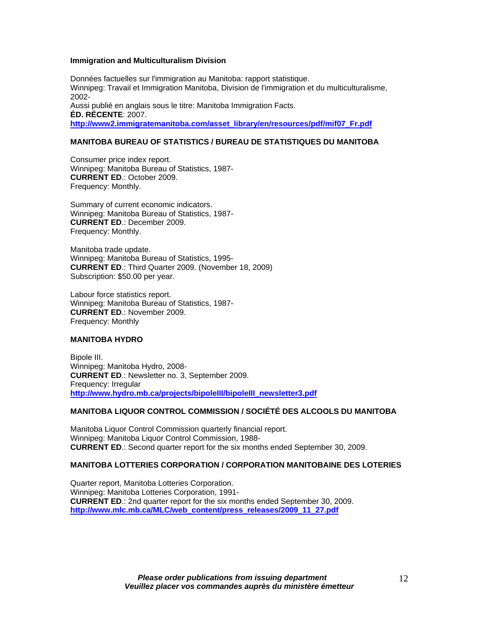### **Immigration and Multiculturalism Division**

Données factuelles sur l'immigration au Manitoba: rapport statistique. Winnipeg: Travail et Immigration Manitoba, Division de l'immigration et du multiculturalisme, 2002- Aussi publié en anglais sous le titre: Manitoba Immigration Facts. **ÉD. RÉCENTE**: 2007. **[http://www2.immigratemanitoba.com/asset\\_library/en/resources/pdf/mif07\\_Fr.pdf](http://www2.immigratemanitoba.com/asset_library/en/resources/pdf/mif07_Fr.pdf)**

# **MANITOBA BUREAU OF STATISTICS / BUREAU DE STATISTIQUES DU MANITOBA**

Consumer price index report. Winnipeg: Manitoba Bureau of Statistics, 1987- **CURRENT ED**.: October 2009. Frequency: Monthly.

Summary of current economic indicators. Winnipeg: Manitoba Bureau of Statistics, 1987- **CURRENT ED**.: December 2009. Frequency: Monthly.

Manitoba trade update. Winnipeg: Manitoba Bureau of Statistics, 1995- **CURRENT ED**.: Third Quarter 2009. (November 18, 2009) Subscription: \$50.00 per year.

Labour force statistics report. Winnipeg: Manitoba Bureau of Statistics, 1987- **CURRENT ED**.: November 2009. Frequency: Monthly

## **MANITOBA HYDRO**

Bipole III. Winnipeg: Manitoba Hydro, 2008- **CURRENT ED**.: Newsletter no. 3, September 2009. Frequency: Irregular **[http://www.hydro.mb.ca/projects/bipoleIII/bipoleIII\\_newsletter3.pdf](http://www.hydro.mb.ca/projects/bipoleIII/bipoleIII_newsletter3.pdf)**

## **MANITOBA LIQUOR CONTROL COMMISSION / SOCIÉTÉ DES ALCOOLS DU MANITOBA**

Manitoba Liquor Control Commission quarterly financial report. Winnipeg: Manitoba Liquor Control Commission, 1988- **CURRENT ED**.: Second quarter report for the six months ended September 30, 2009.

## **MANITOBA LOTTERIES CORPORATION / CORPORATION MANITOBAINE DES LOTERIES**

Quarter report, Manitoba Lotteries Corporation. Winnipeg: Manitoba Lotteries Corporation, 1991- **CURRENT ED**.: 2nd quarter report for the six months ended September 30, 2009. **[http://www.mlc.mb.ca/MLC/web\\_content/press\\_releases/2009\\_11\\_27.pdf](http://www.mlc.mb.ca/MLC/web_content/press_releases/2009_11_27.pdf)**